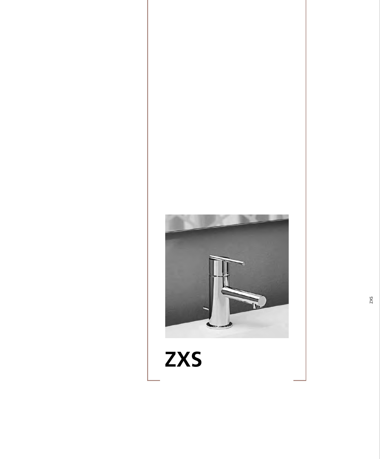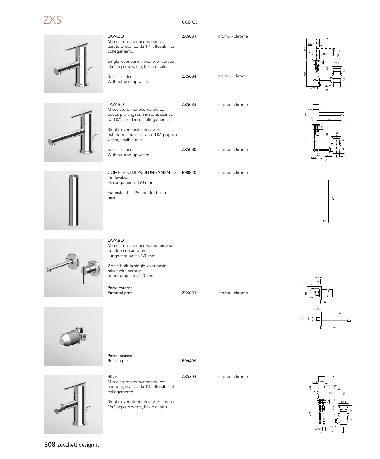CODICE

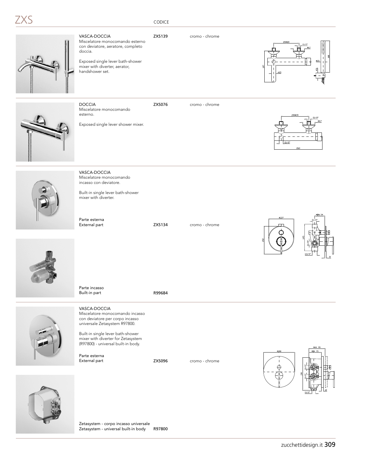## KS

#### CODICE

VASCA-DOCCIA ZXS139 cromo - chrome Miscelatore monocomando esterno con deviatore, aeratore, completo doccia.

Exposed single lever bath-shower mixer with diverter, aerator, handshower set.



Miscelatore monocomando

DOCCIA ZXS076 cromo - chrome





VASCA-DOCCIA Miscelatore monocomando incasso con deviatore.

Built-in single lever bath-shower mixer with diverter.

Parte esterna<br>External part

ZXS134 cromo - chrome





Parte incasso Built-in part **R99684** 

Parte esterna<br>External part



VASCA-DOCCIA Miscelatore monocomando incasso con deviatore per corpo incasso universale Zetasystem R97800.

Built-in single lever bath-shower mixer with diverter for Zetasystem (R97800) - universal built-in body.

ZXS096 cromo - chrome





Zetasystem - corpo incasso universale Zetasystem - universal built-in body R97800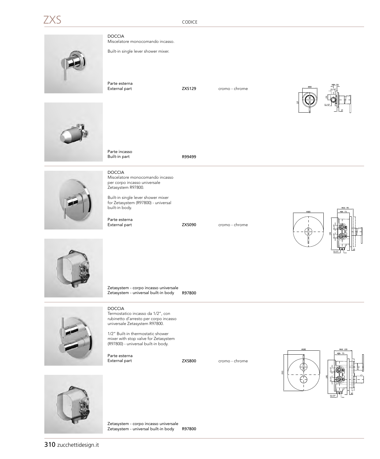CODICE

|  | $\mathcal{L}$ |  |
|--|---------------|--|
|  |               |  |

DOCCIA Miscelatore monocomando incasso.

Built-in single lever shower mixer.

Parte esterna<br>External part

ZXS129 cromo - chrome





Built-in part **R99499** DOCCIA

Parte incasso

Miscelatore monocomando incasso per corpo incasso universale Zetasystem R97800.

Built-in single lever shower mixer for Zetasystem (R97800) - universal built-in body.

Parte esterna<br>External part

ZXS090 cromo - chrome





Zetasystem - corpo incasso universale Zetasystem - universal built-in body R97800



DOCCIA Termostatico incasso da 1/2", con rubinetto d'arresto per corpo incasso universale Zetasystem R97800.

1/2" Built-in thermostatic shower mixer with stop valve for Zetasystem (R97800) - universal built-in body.

Parte esterna<br>External part

ZXS800 cromo - chrome





Zetasystem - corpo incasso universale Zetasystem - universal built-in body R97800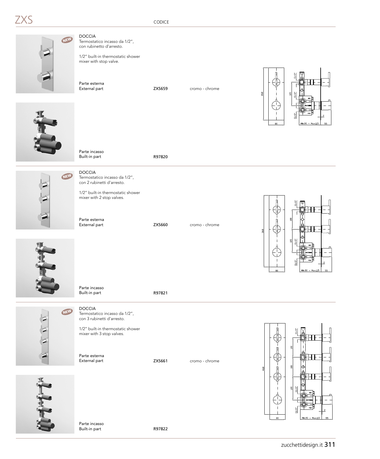DOCCIA Termostatico incasso da 1/2", con rubinetto d'arresto. NEW

> 1/2" built-in thermostatic shower mixer with stop valve.

Parte esterna<br>External part

ZXS659 cromo - chrome







mixer with 2 stop valves.

Parte esterna<br>External part

ZXS660 cromo - chrome







DOCCIA

Parte incasso

Termostatico incasso da 1/2", con 3 rubinetti d'arresto.

1/2" built-in thermostatic shower mixer with 3 stop valves.

Built-in part R97821

Parte esterna<br>External part

ZXS661 cromo - chrome





Parte incasso Built-in part R97822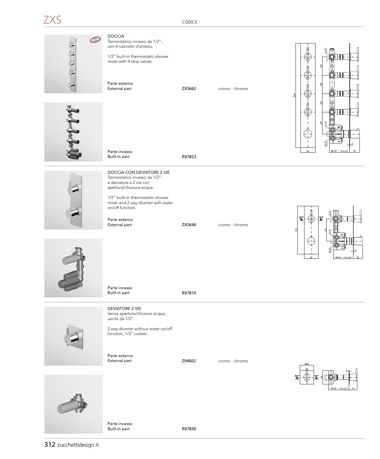### **XS**

CODICE



312 zucchettidesign.it

Built-in part **R97830**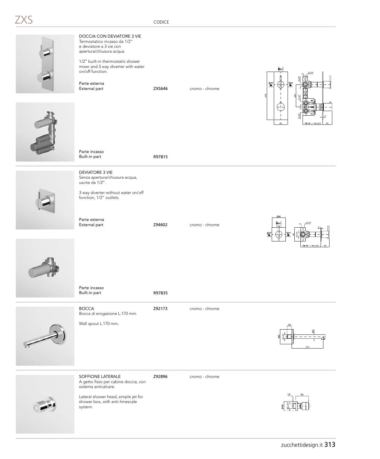



A getto fisso per cabine doccia, con sistema anticalcare.

SOFFIONE LATERALE **Z92896** cromo - chrome

Lateral shower head, simple jet for shower box, with anti-limescale system.

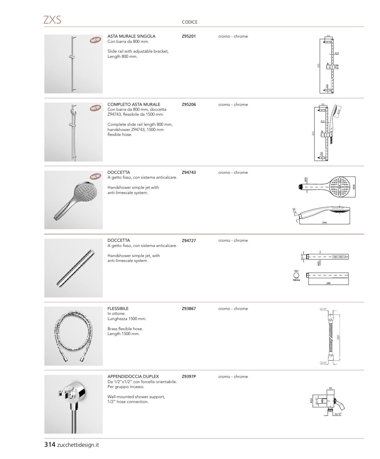| NEW | ASTA MURALE SINGOLA<br>Con barra da 800 mm.<br>Slide rail with adjustable bracket,<br>Length 800 mm.                                                                                 | Z95201 | cromo - chrome | $\varnothing18$<br>$\frac{8}{2}$                                                    |
|-----|--------------------------------------------------------------------------------------------------------------------------------------------------------------------------------------|--------|----------------|-------------------------------------------------------------------------------------|
| NEW | <b>COMPLETO ASTA MURALE</b><br>Con barra da 800 mm, doccetta<br>Z94743, flessibile da 1500 mm.<br>Complete slide rail length 800 mm,<br>handshower Z94743, 1500 mm<br>flexible hose. | Z95206 | cromo - chrome |                                                                                     |
|     | <b>DOCCETTA</b><br>A getto fisso, con sistema anticalcare.<br>Handshower simple jet with<br>anti-limescale system.                                                                   | Z94743 | cromo - chrome | 246                                                                                 |
|     | <b>DOCCETTA</b><br>A getto fisso, con sistema anticalcare.<br>Handshower simple jet, with<br>anti-limescale system.                                                                  | Z94727 | cromo - chrome | $-1$<br>SEZ<br>TONDA<br>188                                                         |
|     | <b>FLESSIBILE</b><br>In ottone.<br>Lunghezza 1500 mm.<br>Brass flexible hose.<br>Length 1500 mm.                                                                                     | Z93867 | cromo - chrome | G1/2'<br><b>THE CONTROLLER OF A STATE OF THE CONTROLLER</b><br>1500<br>᠊ᠣ<br>61/2'' |
|     | APPENDIDOCCIA DUPLEX<br>Da 1/2"x1/2" con forcella orientabile.<br>Per gruppo incasso.<br>Wall-mounted shower support,                                                                | Z9397P | cromo - chrome | 32                                                                                  |

1/2" hose connection.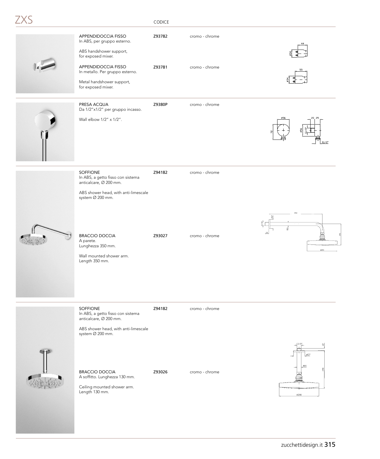|  | ×<br>٠<br>and the state of the con- |
|--|-------------------------------------|

### CODICE

| APPENDIDOCCIA FISSO<br>In ABS, per gruppo esterno.<br>ABS handshower support,<br>for exposed mixer.<br>APPENDIDOCCIA FISSO<br>In metallo. Per gruppo esterno.<br>Metal handshower support,<br>for exposed mixer. | Z93782<br>Z93781 | cromo - chrome<br>cromo - chrome |                |
|------------------------------------------------------------------------------------------------------------------------------------------------------------------------------------------------------------------|------------------|----------------------------------|----------------|
| PRESA ACQUA<br>Da 1/2"x1/2" per gruppo incasso.<br>Wall elbow 1/2" x 1/2".                                                                                                                                       | Z9380P           | cromo - chrome                   | 20 25<br>G1/2' |
| SOFFIONE<br>In ABS, a getto fisso con sistema<br>anticalcare, Ø 200 mm.<br>ABS shower head, with anti-limescale<br>system Ø 200 mm.                                                                              | Z94182           | cromo - chrome                   | 353            |
| <b>BRACCIO DOCCIA</b><br>A parete.<br>Lunghezza 350 mm.<br>Wall mounted shower arm.<br>Length 350 mm.                                                                                                            | Z93027           | cromo - chrome                   | ¢200           |
| SOFFIONE<br>In ABS, a getto fisso con sistema<br>anticalcare, Ø 200 mm.<br>ABS shower head, with anti-limescale<br>system Ø 200 mm.                                                                              | Z94182           | cromo - chrome                   |                |

A soffitto. Lunghezza 130 mm. Ceiling mounted shower arm.

BRACCIO DOCCIA  $Z93026$  cromo - chrome

Length 130 mm.

zucchettidesign.it 315

 $\emptyset$ 200